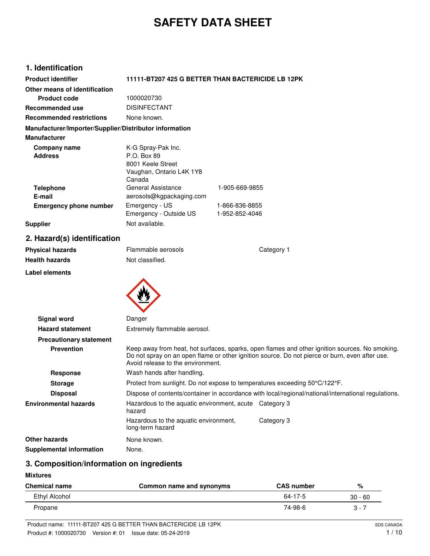# **SAFETY DATA SHEET**

# **1. Identification**

| <b>Product identifier</b>                              |                          | 11111-BT207 425 G BETTER THAN BACTERICIDE LB 12PK |
|--------------------------------------------------------|--------------------------|---------------------------------------------------|
| Other means of identification                          |                          |                                                   |
| <b>Product code</b>                                    | 1000020730               |                                                   |
| Recommended use                                        | <b>DISINFECTANT</b>      |                                                   |
| <b>Recommended restrictions</b>                        | None known.              |                                                   |
| Manufacturer/Importer/Supplier/Distributor information |                          |                                                   |
| <b>Manufacturer</b>                                    |                          |                                                   |
| Company name                                           | K-G Spray-Pak Inc.       |                                                   |
| <b>Address</b>                                         | P.O. Box 89              |                                                   |
|                                                        | 8001 Keele Street        |                                                   |
|                                                        | Vaughan, Ontario L4K 1Y8 |                                                   |
|                                                        | Canada                   |                                                   |
| <b>Telephone</b>                                       | General Assistance       | 1-905-669-9855                                    |
| E-mail                                                 | aerosols@kgpackaging.com |                                                   |
| <b>Emergency phone number</b>                          | Emergency - US           | 1-866-836-8855                                    |
|                                                        | Emergency - Outside US   | 1-952-852-4046                                    |
| <b>Supplier</b>                                        | Not available.           |                                                   |

# **2. Hazard(s) identification**

| <b>Physical hazards</b>        | Flammable aerosols                                                         | Category 1                                                                                                                                                                                       |
|--------------------------------|----------------------------------------------------------------------------|--------------------------------------------------------------------------------------------------------------------------------------------------------------------------------------------------|
| Health hazards                 | Not classified.                                                            |                                                                                                                                                                                                  |
| Label elements                 |                                                                            |                                                                                                                                                                                                  |
|                                |                                                                            |                                                                                                                                                                                                  |
|                                |                                                                            |                                                                                                                                                                                                  |
|                                |                                                                            |                                                                                                                                                                                                  |
| Signal word                    | Danger                                                                     |                                                                                                                                                                                                  |
| <b>Hazard statement</b>        | Extremely flammable aerosol.                                               |                                                                                                                                                                                                  |
| <b>Precautionary statement</b> |                                                                            |                                                                                                                                                                                                  |
| <b>Prevention</b>              | Avoid release to the environment.                                          | Keep away from heat, hot surfaces, sparks, open flames and other ignition sources. No smoking.<br>Do not spray on an open flame or other ignition source. Do not pierce or burn, even after use. |
| Response                       | Wash hands after handling.                                                 |                                                                                                                                                                                                  |
| <b>Storage</b>                 | Protect from sunlight. Do not expose to temperatures exceeding 50°C/122°F. |                                                                                                                                                                                                  |
| <b>Disposal</b>                |                                                                            | Dispose of contents/container in accordance with local/regional/national/international regulations.                                                                                              |
| <b>Environmental hazards</b>   | Hazardous to the aquatic environment, acute Category 3<br>hazard           |                                                                                                                                                                                                  |
|                                | Hazardous to the aquatic environment,<br>long-term hazard                  | Category 3                                                                                                                                                                                       |

**Other hazards** None known. **Supplemental information** None.

**Mixtures**

# **Chemical name Common name and synonyms CAS number %**

**3. Composition/information on ingredients**

| .             | ___<br>.<br>$-$<br>__ | __            |           |
|---------------|-----------------------|---------------|-----------|
| Ethyl Alcohol |                       | $64 - 17 - 5$ | $30 - 60$ |
| Propane       |                       | 74-98-6       | C.<br>ັ   |

 $\overline{\phantom{0}}$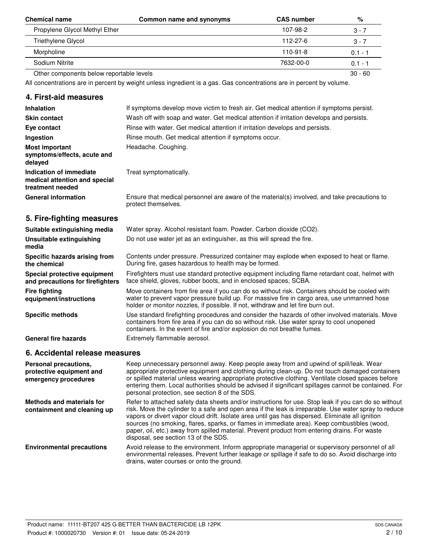| <b>Chemical name</b>                     | Common name and synonyms | <b>CAS number</b> | %         |
|------------------------------------------|--------------------------|-------------------|-----------|
| Propylene Glycol Methyl Ether            |                          | 107-98-2          | 3 - 7     |
| Triethylene Glycol                       |                          | 112-27-6          | 3 - 7     |
| Morpholine                               |                          | 110-91-8          | $0.1 - 1$ |
| Sodium Nitrite                           |                          | 7632-00-0         | $0.1 - 1$ |
| Other components below reportable levels |                          |                   | $30 - 60$ |

All concentrations are in percent by weight unless ingredient is a gas. Gas concentrations are in percent by volume.

## **4. First-aid measures**

| <b>Inhalation</b>                                                                                                                                                                                                                 | If symptoms develop move victim to fresh air. Get medical attention if symptoms persist.                                                                                                                                                                                         |
|-----------------------------------------------------------------------------------------------------------------------------------------------------------------------------------------------------------------------------------|----------------------------------------------------------------------------------------------------------------------------------------------------------------------------------------------------------------------------------------------------------------------------------|
| <b>Skin contact</b>                                                                                                                                                                                                               | Wash off with soap and water. Get medical attention if irritation develops and persists.                                                                                                                                                                                         |
| Eye contact                                                                                                                                                                                                                       | Rinse with water. Get medical attention if irritation develops and persists.                                                                                                                                                                                                     |
| Ingestion                                                                                                                                                                                                                         | Rinse mouth. Get medical attention if symptoms occur.                                                                                                                                                                                                                            |
| <b>Most important</b><br>symptoms/effects, acute and<br>delayed                                                                                                                                                                   | Headache. Coughing.                                                                                                                                                                                                                                                              |
| Indication of immediate<br>medical attention and special<br>treatment needed                                                                                                                                                      | Treat symptomatically.                                                                                                                                                                                                                                                           |
| <b>General information</b>                                                                                                                                                                                                        | Ensure that medical personnel are aware of the material(s) involved, and take precautions to<br>protect themselves.                                                                                                                                                              |
| 5. Fire-fighting measures                                                                                                                                                                                                         |                                                                                                                                                                                                                                                                                  |
| Suitable extinguishing media                                                                                                                                                                                                      | Water spray. Alcohol resistant foam. Powder. Carbon dioxide (CO2).                                                                                                                                                                                                               |
| Unsuitable extinguishing<br>media                                                                                                                                                                                                 | Do not use water jet as an extinguisher, as this will spread the fire.                                                                                                                                                                                                           |
| Specific hazards arising from<br>the chemical                                                                                                                                                                                     | Contents under pressure. Pressurized container may explode when exposed to heat or flame.<br>During fire, gases hazardous to health may be formed.                                                                                                                               |
| Special protective equipment<br>and precautions for firefighters                                                                                                                                                                  | Firefighters must use standard protective equipment including flame retardant coat, helmet with<br>face shield, gloves, rubber boots, and in enclosed spaces, SCBA.                                                                                                              |
| <b>Fire fighting</b><br>equipment/instructions                                                                                                                                                                                    | Move containers from fire area if you can do so without risk. Containers should be cooled with<br>water to prevent vapor pressure build up. For massive fire in cargo area, use unmanned hose<br>holder or monitor nozzles, if possible. If not, withdraw and let fire burn out. |
| <b>Specific methods</b>                                                                                                                                                                                                           | Use standard firefighting procedures and consider the hazards of other involved materials. Move<br>containers from fire area if you can do so without risk. Use water spray to cool unopened<br>containers. In the event of fire and/or explosion do not breathe fumes.          |
| <b>General fire hazards</b>                                                                                                                                                                                                       | Extremely flammable aerosol.                                                                                                                                                                                                                                                     |
| $\bullet$ . And a state of the state of the state of the state of the state of the state of the state of the state of the state of the state of the state of the state of the state of the state of the state of the state of the |                                                                                                                                                                                                                                                                                  |

## **6. Accidental release measures**

| Personal precautions,<br>protective equipment and<br>emergency procedures | Keep unnecessary personnel away. Keep people away from and upwind of spill/leak. Wear<br>appropriate protective equipment and clothing during clean-up. Do not touch damaged containers<br>or spilled material unless wearing appropriate protective clothing. Ventilate closed spaces before<br>entering them. Local authorities should be advised if significant spillages cannot be contained. For<br>personal protection, see section 8 of the SDS.                                                                                                   |
|---------------------------------------------------------------------------|-----------------------------------------------------------------------------------------------------------------------------------------------------------------------------------------------------------------------------------------------------------------------------------------------------------------------------------------------------------------------------------------------------------------------------------------------------------------------------------------------------------------------------------------------------------|
| <b>Methods and materials for</b><br>containment and cleaning up           | Refer to attached safety data sheets and/or instructions for use. Stop leak if you can do so without<br>risk. Move the cylinder to a safe and open area if the leak is irreparable. Use water spray to reduce<br>vapors or divert vapor cloud drift. Isolate area until gas has dispersed. Eliminate all ignition<br>sources (no smoking, flares, sparks, or flames in immediate area). Keep combustibles (wood,<br>paper, oil, etc.) away from spilled material. Prevent product from entering drains. For waste<br>disposal, see section 13 of the SDS. |
| <b>Environmental precautions</b>                                          | Avoid release to the environment. Inform appropriate managerial or supervisory personnel of all<br>environmental releases. Prevent further leakage or spillage if safe to do so. Avoid discharge into<br>drains, water courses or onto the ground.                                                                                                                                                                                                                                                                                                        |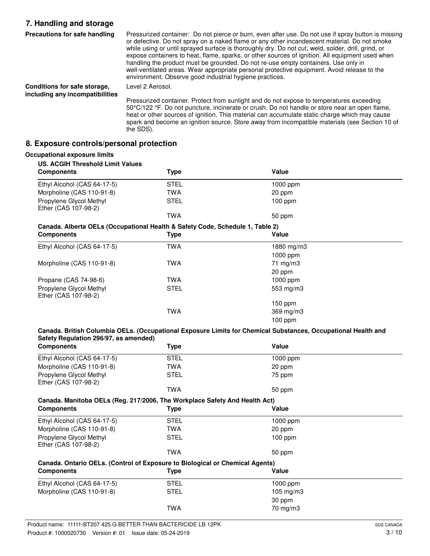# **7. Handling and storage**

| Precautions for safe handling                                   | Pressurized container: Do not pierce or burn, even after use. Do not use if spray button is missing<br>or defective. Do not spray on a naked flame or any other incandescent material. Do not smoke<br>while using or until sprayed surface is thoroughly dry. Do not cut, weld, solder, drill, grind, or<br>expose containers to heat, flame, sparks, or other sources of ignition. All equipment used when<br>handling the product must be grounded. Do not re-use empty containers. Use only in<br>well-ventilated areas. Wear appropriate personal protective equipment. Avoid release to the<br>environment. Observe good industrial hygiene practices. |
|-----------------------------------------------------------------|--------------------------------------------------------------------------------------------------------------------------------------------------------------------------------------------------------------------------------------------------------------------------------------------------------------------------------------------------------------------------------------------------------------------------------------------------------------------------------------------------------------------------------------------------------------------------------------------------------------------------------------------------------------|
| Conditions for safe storage,<br>including any incompatibilities | Level 2 Aerosol.                                                                                                                                                                                                                                                                                                                                                                                                                                                                                                                                                                                                                                             |
|                                                                 | Pressurized container. Protect from sunlight and do not expose to temperatures exceeding<br>50°C/122 °F. Do not puncture, incinerate or crush. Do not handle or store near an open flame,<br>heat or other sources of ignition. This material can accumulate static charge which may cause                                                                                                                                                                                                                                                                                                                                                                   |

spark and become an ignition source. Store away from incompatible materials (see Section 10 of

## **8. Exposure controls/personal protection**

the SDS).

| <b>Components</b>                                                             | <b>Type</b> | Value             |
|-------------------------------------------------------------------------------|-------------|-------------------|
| Ethyl Alcohol (CAS 64-17-5)                                                   | <b>STEL</b> | $1000$ ppm        |
| Morpholine (CAS 110-91-8)                                                     | TWA         | 20 ppm            |
| Propylene Glycol Methyl<br>Ether (CAS 107-98-2)                               | <b>STEL</b> | $100$ ppm         |
|                                                                               | <b>TWA</b>  | 50 ppm            |
| Canada. Alberta OELs (Occupational Health & Safety Code, Schedule 1, Table 2) |             |                   |
| <b>Components</b>                                                             | <b>Type</b> | Value             |
| Ethyl Alcohol (CAS 64-17-5)                                                   | <b>TWA</b>  | 1880 mg/m $3$     |
|                                                                               |             | 1000 ppm          |
| Morpholine (CAS 110-91-8)                                                     | <b>TWA</b>  | $71 \text{ mg/m}$ |
|                                                                               |             | 20 ppm            |
| Propane (CAS 74-98-6)                                                         | <b>TWA</b>  | $1000$ ppm        |
| Propylene Glycol Methyl<br>Ether (CAS 107-98-2)                               | <b>STEL</b> | 553 mg/m3         |
|                                                                               |             | $150$ ppm         |
|                                                                               | <b>TWA</b>  | $369$ mg/m $3$    |
|                                                                               |             | $100$ ppm         |

#### **Canada. British Columbia OELs. (Occupational Exposure Limits for Chemical Substances, Occupational Health and Safety Regulation 296/97, as amended)**

| <b>Components</b>                                                            | <b>Type</b> | Value                |  |
|------------------------------------------------------------------------------|-------------|----------------------|--|
| Ethyl Alcohol (CAS 64-17-5)                                                  | <b>STEL</b> | 1000 ppm             |  |
| Morpholine (CAS 110-91-8)                                                    | TWA         | 20 ppm               |  |
| Propylene Glycol Methyl<br>Ether (CAS 107-98-2)                              | <b>STEL</b> | 75 ppm               |  |
|                                                                              | TWA         | 50 ppm               |  |
| Canada. Manitoba OELs (Reg. 217/2006, The Workplace Safety And Health Act)   |             |                      |  |
| <b>Components</b>                                                            | Type        | Value                |  |
| Ethyl Alcohol (CAS 64-17-5)                                                  | <b>STEL</b> | 1000 ppm             |  |
| Morpholine (CAS 110-91-8)                                                    | TWA         | 20 ppm               |  |
| Propylene Glycol Methyl<br>Ether (CAS 107-98-2)                              | <b>STEL</b> | $100$ ppm            |  |
|                                                                              | <b>TWA</b>  | 50 ppm               |  |
| Canada. Ontario OELs. (Control of Exposure to Biological or Chemical Agents) |             |                      |  |
| <b>Components</b>                                                            | Type        | Value                |  |
| Ethyl Alcohol (CAS 64-17-5)                                                  | STEL        | 1000 ppm             |  |
| Morpholine (CAS 110-91-8)                                                    | <b>STEL</b> | $105 \text{ mg/m}$ 3 |  |
|                                                                              |             | 30 ppm               |  |
|                                                                              | <b>TWA</b>  | $70 \text{ mg/m}$    |  |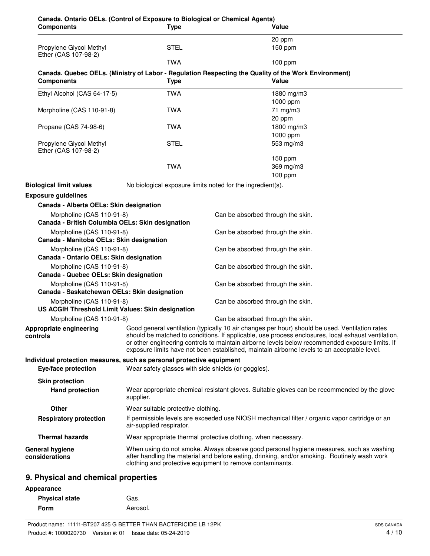| Canada. Ontario OELs. (Control of Exposure to Biological or Chemical Agents)<br><b>Components</b> |                                                                                                                                                                                                                                                                                                                                                                                                        | <b>Type</b>                                                                                                                | Value                                                                                                                |
|---------------------------------------------------------------------------------------------------|--------------------------------------------------------------------------------------------------------------------------------------------------------------------------------------------------------------------------------------------------------------------------------------------------------------------------------------------------------------------------------------------------------|----------------------------------------------------------------------------------------------------------------------------|----------------------------------------------------------------------------------------------------------------------|
|                                                                                                   |                                                                                                                                                                                                                                                                                                                                                                                                        |                                                                                                                            | 20 ppm                                                                                                               |
| Propylene Glycol Methyl<br>Ether (CAS 107-98-2)                                                   |                                                                                                                                                                                                                                                                                                                                                                                                        | <b>STEL</b>                                                                                                                | $150$ ppm                                                                                                            |
|                                                                                                   |                                                                                                                                                                                                                                                                                                                                                                                                        | <b>TWA</b>                                                                                                                 | $100$ ppm                                                                                                            |
| <b>Components</b>                                                                                 |                                                                                                                                                                                                                                                                                                                                                                                                        | <b>Type</b>                                                                                                                | Canada. Quebec OELs. (Ministry of Labor - Regulation Respecting the Quality of the Work Environment)<br><b>Value</b> |
| Ethyl Alcohol (CAS 64-17-5)                                                                       |                                                                                                                                                                                                                                                                                                                                                                                                        | <b>TWA</b>                                                                                                                 | 1880 mg/m3                                                                                                           |
|                                                                                                   |                                                                                                                                                                                                                                                                                                                                                                                                        |                                                                                                                            | 1000 ppm                                                                                                             |
| Morpholine (CAS 110-91-8)                                                                         |                                                                                                                                                                                                                                                                                                                                                                                                        | <b>TWA</b>                                                                                                                 | 71 mg/m3                                                                                                             |
| Propane (CAS 74-98-6)                                                                             |                                                                                                                                                                                                                                                                                                                                                                                                        | <b>TWA</b>                                                                                                                 | 20 ppm<br>1800 mg/m3                                                                                                 |
|                                                                                                   |                                                                                                                                                                                                                                                                                                                                                                                                        |                                                                                                                            | 1000 ppm                                                                                                             |
| Propylene Glycol Methyl                                                                           |                                                                                                                                                                                                                                                                                                                                                                                                        | <b>STEL</b>                                                                                                                | 553 mg/m3                                                                                                            |
| Ether (CAS 107-98-2)                                                                              |                                                                                                                                                                                                                                                                                                                                                                                                        |                                                                                                                            | 150 ppm                                                                                                              |
|                                                                                                   |                                                                                                                                                                                                                                                                                                                                                                                                        | <b>TWA</b>                                                                                                                 | 369 mg/m3                                                                                                            |
|                                                                                                   |                                                                                                                                                                                                                                                                                                                                                                                                        |                                                                                                                            | 100 ppm                                                                                                              |
| <b>Biological limit values</b>                                                                    |                                                                                                                                                                                                                                                                                                                                                                                                        |                                                                                                                            | No biological exposure limits noted for the ingredient(s).                                                           |
| <b>Exposure guidelines</b>                                                                        |                                                                                                                                                                                                                                                                                                                                                                                                        |                                                                                                                            |                                                                                                                      |
| Canada - Alberta OELs: Skin designation                                                           |                                                                                                                                                                                                                                                                                                                                                                                                        |                                                                                                                            |                                                                                                                      |
| Morpholine (CAS 110-91-8)                                                                         |                                                                                                                                                                                                                                                                                                                                                                                                        |                                                                                                                            | Can be absorbed through the skin.                                                                                    |
| Canada - British Columbia OELs: Skin designation                                                  |                                                                                                                                                                                                                                                                                                                                                                                                        |                                                                                                                            |                                                                                                                      |
| Morpholine (CAS 110-91-8)                                                                         |                                                                                                                                                                                                                                                                                                                                                                                                        |                                                                                                                            | Can be absorbed through the skin.                                                                                    |
| Canada - Manitoba OELs: Skin designation                                                          |                                                                                                                                                                                                                                                                                                                                                                                                        |                                                                                                                            |                                                                                                                      |
| Morpholine (CAS 110-91-8)<br>Canada - Ontario OELs: Skin designation                              |                                                                                                                                                                                                                                                                                                                                                                                                        |                                                                                                                            | Can be absorbed through the skin.                                                                                    |
| Morpholine (CAS 110-91-8)<br>Canada - Quebec OELs: Skin designation                               |                                                                                                                                                                                                                                                                                                                                                                                                        |                                                                                                                            | Can be absorbed through the skin.                                                                                    |
| Morpholine (CAS 110-91-8)                                                                         |                                                                                                                                                                                                                                                                                                                                                                                                        |                                                                                                                            | Can be absorbed through the skin.                                                                                    |
| Canada - Saskatchewan OELs: Skin designation                                                      |                                                                                                                                                                                                                                                                                                                                                                                                        |                                                                                                                            |                                                                                                                      |
| Morpholine (CAS 110-91-8)<br>US ACGIH Threshold Limit Values: Skin designation                    |                                                                                                                                                                                                                                                                                                                                                                                                        |                                                                                                                            | Can be absorbed through the skin.                                                                                    |
| Morpholine (CAS 110-91-8)                                                                         |                                                                                                                                                                                                                                                                                                                                                                                                        |                                                                                                                            | Can be absorbed through the skin.                                                                                    |
| <b>Appropriate engineering</b><br>controls                                                        | Good general ventilation (typically 10 air changes per hour) should be used. Ventilation rates<br>should be matched to conditions. If applicable, use process enclosures, local exhaust ventilation,<br>or other engineering controls to maintain airborne levels below recommended exposure limits. If<br>exposure limits have not been established, maintain airborne levels to an acceptable level. |                                                                                                                            |                                                                                                                      |
| Individual protection measures, such as personal protective equipment<br>Eye/face protection      |                                                                                                                                                                                                                                                                                                                                                                                                        |                                                                                                                            | Wear safety glasses with side shields (or goggles).                                                                  |
| <b>Skin protection</b>                                                                            |                                                                                                                                                                                                                                                                                                                                                                                                        |                                                                                                                            |                                                                                                                      |
| <b>Hand protection</b>                                                                            | supplier.                                                                                                                                                                                                                                                                                                                                                                                              |                                                                                                                            | Wear appropriate chemical resistant gloves. Suitable gloves can be recommended by the glove                          |
| <b>Other</b>                                                                                      |                                                                                                                                                                                                                                                                                                                                                                                                        | Wear suitable protective clothing.                                                                                         |                                                                                                                      |
| <b>Respiratory protection</b>                                                                     |                                                                                                                                                                                                                                                                                                                                                                                                        | If permissible levels are exceeded use NIOSH mechanical filter / organic vapor cartridge or an<br>air-supplied respirator. |                                                                                                                      |
| <b>Thermal hazards</b>                                                                            |                                                                                                                                                                                                                                                                                                                                                                                                        |                                                                                                                            | Wear appropriate thermal protective clothing, when necessary.                                                        |
| <b>General hygiene</b><br>considerations                                                          | When using do not smoke. Always observe good personal hygiene measures, such as washing<br>after handling the material and before eating, drinking, and/or smoking. Routinely wash work<br>clothing and protective equipment to remove contaminants.                                                                                                                                                   |                                                                                                                            |                                                                                                                      |
| 9. Physical and chemical properties                                                               |                                                                                                                                                                                                                                                                                                                                                                                                        |                                                                                                                            |                                                                                                                      |

| Appearance            |          |
|-----------------------|----------|
| <b>Physical state</b> | Gas.     |
| Form                  | Aerosol. |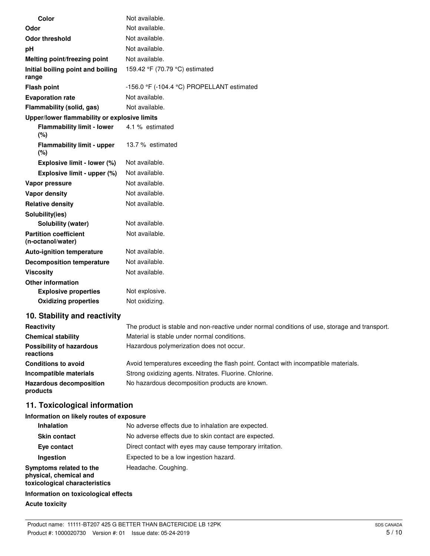| Color                                             | Not available.                                               |
|---------------------------------------------------|--------------------------------------------------------------|
| Odor                                              | Not available.                                               |
| <b>Odor threshold</b>                             | Not available.                                               |
| рH                                                | Not available.                                               |
| Melting point/freezing point                      | Not available.                                               |
| Initial boiling point and boiling<br>range        | 159.42 °F (70.79 °C) estimated                               |
| <b>Flash point</b>                                | -156.0 $\degree$ F (-104.4 $\degree$ C) PROPELLANT estimated |
| <b>Evaporation rate</b>                           | Not available.                                               |
| Flammability (solid, gas)                         | Not available.                                               |
| Upper/lower flammability or explosive limits      |                                                              |
| <b>Flammability limit - lower</b><br>(%)          | 4.1 % estimated                                              |
| <b>Flammability limit - upper</b><br>(%)          | 13.7 % estimated                                             |
| Explosive limit - lower (%)                       | Not available.                                               |
| Explosive limit - upper (%)                       | Not available.                                               |
| Vapor pressure                                    | Not available.                                               |
| <b>Vapor density</b>                              | Not available.                                               |
| <b>Relative density</b>                           | Not available.                                               |
| Solubility(ies)                                   |                                                              |
| Solubility (water)                                | Not available.                                               |
| <b>Partition coefficient</b><br>(n-octanol/water) | Not available.                                               |
| <b>Auto-ignition temperature</b>                  | Not available.                                               |
| <b>Decomposition temperature</b>                  | Not available.                                               |
| <b>Viscosity</b>                                  | Not available.                                               |
| <b>Other information</b>                          |                                                              |
| <b>Explosive properties</b>                       | Not explosive.                                               |
| <b>Oxidizing properties</b>                       | Not oxidizing.                                               |
|                                                   |                                                              |

## **10. Stability and reactivity**

| Reactivity                                   | The product is stable and non-reactive under normal conditions of use, storage and transport. |
|----------------------------------------------|-----------------------------------------------------------------------------------------------|
| <b>Chemical stability</b>                    | Material is stable under normal conditions.                                                   |
| <b>Possibility of hazardous</b><br>reactions | Hazardous polymerization does not occur.                                                      |
| <b>Conditions to avoid</b>                   | Avoid temperatures exceeding the flash point. Contact with incompatible materials.            |
| Incompatible materials                       | Strong oxidizing agents. Nitrates. Fluorine. Chlorine.                                        |
| <b>Hazardous decomposition</b><br>products   | No hazardous decomposition products are known.                                                |

# **11. Toxicological information**

### **Information on likely routes of exposure**

| <b>Inhalation</b>                                                                  | No adverse effects due to inhalation are expected.       |
|------------------------------------------------------------------------------------|----------------------------------------------------------|
| <b>Skin contact</b>                                                                | No adverse effects due to skin contact are expected.     |
| Eye contact                                                                        | Direct contact with eyes may cause temporary irritation. |
| Ingestion                                                                          | Expected to be a low ingestion hazard.                   |
| Symptoms related to the<br>physical, chemical and<br>toxicological characteristics | Headache. Coughing.                                      |
| Information on toxicological effects                                               |                                                          |

# **Acute toxicity**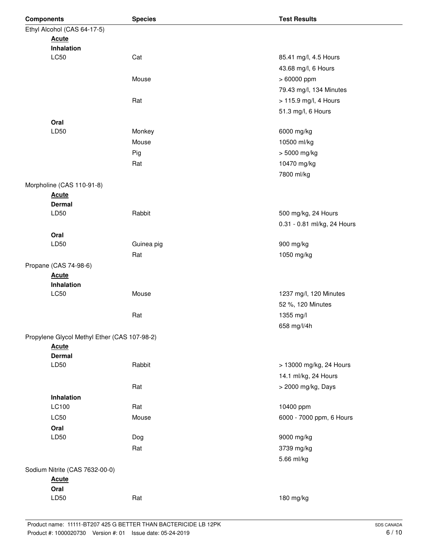| <b>Components</b> |                                              | <b>Species</b> | <b>Test Results</b>         |  |
|-------------------|----------------------------------------------|----------------|-----------------------------|--|
|                   | Ethyl Alcohol (CAS 64-17-5)                  |                |                             |  |
|                   | <b>Acute</b>                                 |                |                             |  |
|                   | Inhalation                                   |                |                             |  |
|                   | <b>LC50</b>                                  | Cat            | 85.41 mg/l, 4.5 Hours       |  |
|                   |                                              |                | 43.68 mg/l, 6 Hours         |  |
|                   |                                              | Mouse          | > 60000 ppm                 |  |
|                   |                                              |                | 79.43 mg/l, 134 Minutes     |  |
|                   |                                              | Rat            | > 115.9 mg/l, 4 Hours       |  |
|                   |                                              |                | 51.3 mg/l, 6 Hours          |  |
|                   | Oral                                         |                |                             |  |
|                   | LD50                                         | Monkey         | 6000 mg/kg                  |  |
|                   |                                              | Mouse          | 10500 ml/kg                 |  |
|                   |                                              | Pig            | > 5000 mg/kg                |  |
|                   |                                              | Rat            | 10470 mg/kg                 |  |
|                   |                                              |                |                             |  |
|                   |                                              |                | 7800 ml/kg                  |  |
|                   | Morpholine (CAS 110-91-8)                    |                |                             |  |
|                   | <b>Acute</b><br><b>Dermal</b>                |                |                             |  |
|                   | LD50                                         | Rabbit         | 500 mg/kg, 24 Hours         |  |
|                   |                                              |                | 0.31 - 0.81 ml/kg, 24 Hours |  |
|                   |                                              |                |                             |  |
|                   | Oral<br>LD50                                 | Guinea pig     | 900 mg/kg                   |  |
|                   |                                              | Rat            |                             |  |
|                   |                                              |                | 1050 mg/kg                  |  |
|                   | Propane (CAS 74-98-6)                        |                |                             |  |
|                   | <b>Acute</b><br>Inhalation                   |                |                             |  |
|                   | LC50                                         | Mouse          | 1237 mg/l, 120 Minutes      |  |
|                   |                                              |                | 52 %, 120 Minutes           |  |
|                   |                                              |                |                             |  |
|                   |                                              | Rat            | 1355 mg/l                   |  |
|                   |                                              |                | 658 mg/l/4h                 |  |
|                   | Propylene Glycol Methyl Ether (CAS 107-98-2) |                |                             |  |
|                   | <b>Acute</b>                                 |                |                             |  |
|                   | <b>Dermal</b><br>LD50                        | Rabbit         | > 13000 mg/kg, 24 Hours     |  |
|                   |                                              |                |                             |  |
|                   |                                              |                | 14.1 ml/kg, 24 Hours        |  |
|                   |                                              | Rat            | > 2000 mg/kg, Days          |  |
|                   | Inhalation                                   |                |                             |  |
|                   | LC100                                        | Rat            | 10400 ppm                   |  |
|                   | LC50                                         | Mouse          | 6000 - 7000 ppm, 6 Hours    |  |
|                   | Oral                                         |                |                             |  |
|                   | LD50                                         | Dog            | 9000 mg/kg                  |  |
|                   |                                              | Rat            | 3739 mg/kg                  |  |
|                   |                                              |                | 5.66 ml/kg                  |  |
|                   | Sodium Nitrite (CAS 7632-00-0)               |                |                             |  |
|                   | <b>Acute</b>                                 |                |                             |  |
|                   | Oral                                         |                |                             |  |
|                   | LD50                                         | Rat            | 180 mg/kg                   |  |
|                   |                                              |                |                             |  |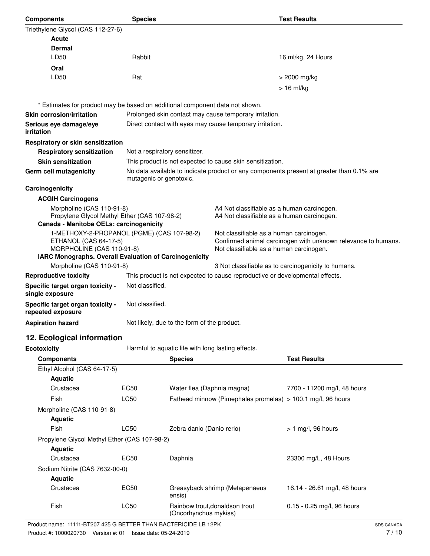| <b>Components</b>                                                                                                                                                     | <b>Species</b>                                                                                                                                                                                                             |                                                                              |                                                           | <b>Test Results</b>                                                                      |
|-----------------------------------------------------------------------------------------------------------------------------------------------------------------------|----------------------------------------------------------------------------------------------------------------------------------------------------------------------------------------------------------------------------|------------------------------------------------------------------------------|-----------------------------------------------------------|------------------------------------------------------------------------------------------|
| Triethylene Glycol (CAS 112-27-6)                                                                                                                                     |                                                                                                                                                                                                                            |                                                                              |                                                           |                                                                                          |
| <u>Acute</u>                                                                                                                                                          |                                                                                                                                                                                                                            |                                                                              |                                                           |                                                                                          |
| <b>Dermal</b>                                                                                                                                                         |                                                                                                                                                                                                                            |                                                                              |                                                           |                                                                                          |
| LD50                                                                                                                                                                  | Rabbit                                                                                                                                                                                                                     |                                                                              |                                                           | 16 ml/kg, 24 Hours                                                                       |
| Oral                                                                                                                                                                  |                                                                                                                                                                                                                            |                                                                              |                                                           |                                                                                          |
| LD50                                                                                                                                                                  | Rat                                                                                                                                                                                                                        |                                                                              |                                                           | > 2000 mg/kg                                                                             |
|                                                                                                                                                                       |                                                                                                                                                                                                                            |                                                                              |                                                           | $> 16$ ml/kg                                                                             |
| * Estimates for product may be based on additional component data not shown.                                                                                          |                                                                                                                                                                                                                            |                                                                              |                                                           |                                                                                          |
| <b>Skin corrosion/irritation</b>                                                                                                                                      |                                                                                                                                                                                                                            |                                                                              | Prolonged skin contact may cause temporary irritation.    |                                                                                          |
| Serious eye damage/eye<br>irritation                                                                                                                                  |                                                                                                                                                                                                                            | Direct contact with eyes may cause temporary irritation.                     |                                                           |                                                                                          |
| Respiratory or skin sensitization                                                                                                                                     |                                                                                                                                                                                                                            |                                                                              |                                                           |                                                                                          |
| <b>Respiratory sensitization</b>                                                                                                                                      | Not a respiratory sensitizer.                                                                                                                                                                                              |                                                                              |                                                           |                                                                                          |
| <b>Skin sensitization</b>                                                                                                                                             |                                                                                                                                                                                                                            |                                                                              | This product is not expected to cause skin sensitization. |                                                                                          |
| <b>Germ cell mutagenicity</b>                                                                                                                                         | mutagenic or genotoxic.                                                                                                                                                                                                    |                                                                              |                                                           | No data available to indicate product or any components present at greater than 0.1% are |
| Carcinogenicity                                                                                                                                                       |                                                                                                                                                                                                                            |                                                                              |                                                           |                                                                                          |
| <b>ACGIH Carcinogens</b>                                                                                                                                              |                                                                                                                                                                                                                            |                                                                              |                                                           |                                                                                          |
| Morpholine (CAS 110-91-8)<br>A4 Not classifiable as a human carcinogen.<br>Propylene Glycol Methyl Ether (CAS 107-98-2)<br>A4 Not classifiable as a human carcinogen. |                                                                                                                                                                                                                            |                                                                              |                                                           |                                                                                          |
| Canada - Manitoba OELs: carcinogenicity                                                                                                                               |                                                                                                                                                                                                                            |                                                                              |                                                           |                                                                                          |
| MORPHOLINE (CAS 110-91-8)                                                                                                                                             | 1-METHOXY-2-PROPANOL (PGME) (CAS 107-98-2)<br>Not classifiable as a human carcinogen.<br>Confirmed animal carcinogen with unknown relevance to humans.<br>ETHANOL (CAS 64-17-5)<br>Not classifiable as a human carcinogen. |                                                                              |                                                           |                                                                                          |
| IARC Monographs. Overall Evaluation of Carcinogenicity                                                                                                                |                                                                                                                                                                                                                            |                                                                              |                                                           |                                                                                          |
| Morpholine (CAS 110-91-8)                                                                                                                                             |                                                                                                                                                                                                                            |                                                                              |                                                           | 3 Not classifiable as to carcinogenicity to humans.                                      |
| <b>Reproductive toxicity</b>                                                                                                                                          |                                                                                                                                                                                                                            | This product is not expected to cause reproductive or developmental effects. |                                                           |                                                                                          |
| Specific target organ toxicity -<br>single exposure                                                                                                                   | Not classified.                                                                                                                                                                                                            |                                                                              |                                                           |                                                                                          |
| Specific target organ toxicity -<br>repeated exposure                                                                                                                 | Not classified.                                                                                                                                                                                                            |                                                                              |                                                           |                                                                                          |
| <b>Aspiration hazard</b>                                                                                                                                              |                                                                                                                                                                                                                            | Not likely, due to the form of the product.                                  |                                                           |                                                                                          |
| 12. Ecological information                                                                                                                                            |                                                                                                                                                                                                                            |                                                                              |                                                           |                                                                                          |
| <b>Ecotoxicity</b>                                                                                                                                                    |                                                                                                                                                                                                                            |                                                                              | Harmful to aquatic life with long lasting effects.        |                                                                                          |
| <b>Components</b>                                                                                                                                                     |                                                                                                                                                                                                                            | <b>Species</b>                                                               |                                                           | <b>Test Results</b>                                                                      |
| Ethyl Alcohol (CAS 64-17-5)                                                                                                                                           |                                                                                                                                                                                                                            |                                                                              |                                                           |                                                                                          |
| <b>Aquatic</b>                                                                                                                                                        |                                                                                                                                                                                                                            |                                                                              |                                                           |                                                                                          |
| Crustacea                                                                                                                                                             | <b>EC50</b>                                                                                                                                                                                                                | Water flea (Daphnia magna)                                                   |                                                           | 7700 - 11200 mg/l, 48 hours                                                              |
| Fish                                                                                                                                                                  | <b>LC50</b>                                                                                                                                                                                                                |                                                                              |                                                           | Fathead minnow (Pimephales promelas) > 100.1 mg/l, 96 hours                              |
| Morpholine (CAS 110-91-8)                                                                                                                                             |                                                                                                                                                                                                                            |                                                                              |                                                           |                                                                                          |
| <b>Aquatic</b>                                                                                                                                                        |                                                                                                                                                                                                                            |                                                                              |                                                           |                                                                                          |
| Fish                                                                                                                                                                  | LC50                                                                                                                                                                                                                       | Zebra danio (Danio rerio)                                                    |                                                           | $> 1$ mg/l, 96 hours                                                                     |
| Propylene Glycol Methyl Ether (CAS 107-98-2)<br><b>Aquatic</b>                                                                                                        |                                                                                                                                                                                                                            |                                                                              |                                                           |                                                                                          |
| Crustacea                                                                                                                                                             | <b>EC50</b>                                                                                                                                                                                                                | Daphnia                                                                      |                                                           | 23300 mg/L, 48 Hours                                                                     |
| Sodium Nitrite (CAS 7632-00-0)<br><b>Aquatic</b>                                                                                                                      |                                                                                                                                                                                                                            |                                                                              |                                                           |                                                                                          |
| Crustacea                                                                                                                                                             | <b>EC50</b>                                                                                                                                                                                                                | ensis)                                                                       | Greasyback shrimp (Metapenaeus                            | 16.14 - 26.61 mg/l, 48 hours                                                             |

Fish LC50 Rainbow trout,donaldson trout 0.15 - 0.25 mg/l, 96 hours (Oncorhynchus mykiss)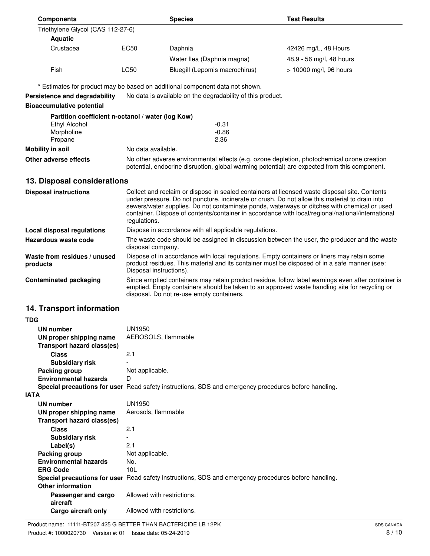| <b>Components</b>                                                                                                                                                                                                                       |                                                                                                                                                                                                                                                  | <b>Species</b>                                                                                       | <b>Test Results</b>      |  |
|-----------------------------------------------------------------------------------------------------------------------------------------------------------------------------------------------------------------------------------------|--------------------------------------------------------------------------------------------------------------------------------------------------------------------------------------------------------------------------------------------------|------------------------------------------------------------------------------------------------------|--------------------------|--|
| Triethylene Glycol (CAS 112-27-6)                                                                                                                                                                                                       |                                                                                                                                                                                                                                                  |                                                                                                      |                          |  |
| <b>Aquatic</b>                                                                                                                                                                                                                          |                                                                                                                                                                                                                                                  |                                                                                                      |                          |  |
| Crustacea                                                                                                                                                                                                                               | EC50                                                                                                                                                                                                                                             | Daphnia                                                                                              | 42426 mg/L, 48 Hours     |  |
|                                                                                                                                                                                                                                         |                                                                                                                                                                                                                                                  | Water flea (Daphnia magna)                                                                           | 48.9 - 56 mg/l, 48 hours |  |
| Fish                                                                                                                                                                                                                                    | LC50                                                                                                                                                                                                                                             | Bluegill (Lepomis macrochirus)                                                                       | > 10000 mg/l, 96 hours   |  |
|                                                                                                                                                                                                                                         |                                                                                                                                                                                                                                                  |                                                                                                      |                          |  |
|                                                                                                                                                                                                                                         |                                                                                                                                                                                                                                                  | * Estimates for product may be based on additional component data not shown.                         |                          |  |
| Persistence and degradability                                                                                                                                                                                                           |                                                                                                                                                                                                                                                  | No data is available on the degradability of this product.                                           |                          |  |
| <b>Bioaccumulative potential</b>                                                                                                                                                                                                        |                                                                                                                                                                                                                                                  |                                                                                                      |                          |  |
| Partition coefficient n-octanol / water (log Kow)                                                                                                                                                                                       |                                                                                                                                                                                                                                                  |                                                                                                      |                          |  |
| Ethyl Alcohol                                                                                                                                                                                                                           |                                                                                                                                                                                                                                                  | $-0.31$                                                                                              |                          |  |
| Morpholine                                                                                                                                                                                                                              |                                                                                                                                                                                                                                                  | $-0.86$                                                                                              |                          |  |
| Propane<br>Mobility in soil                                                                                                                                                                                                             | No data available.                                                                                                                                                                                                                               | 2.36                                                                                                 |                          |  |
|                                                                                                                                                                                                                                         |                                                                                                                                                                                                                                                  |                                                                                                      |                          |  |
| Other adverse effects                                                                                                                                                                                                                   | No other adverse environmental effects (e.g. ozone depletion, photochemical ozone creation<br>potential, endocrine disruption, global warming potential) are expected from this component.                                                       |                                                                                                      |                          |  |
| 13. Disposal considerations                                                                                                                                                                                                             |                                                                                                                                                                                                                                                  |                                                                                                      |                          |  |
| <b>Disposal instructions</b>                                                                                                                                                                                                            |                                                                                                                                                                                                                                                  | Collect and reclaim or dispose in sealed containers at licensed waste disposal site. Contents        |                          |  |
|                                                                                                                                                                                                                                         | under pressure. Do not puncture, incinerate or crush. Do not allow this material to drain into<br>sewers/water supplies. Do not contaminate ponds, waterways or ditches with chemical or used                                                    |                                                                                                      |                          |  |
|                                                                                                                                                                                                                                         | container. Dispose of contents/container in accordance with local/regional/national/international                                                                                                                                                |                                                                                                      |                          |  |
|                                                                                                                                                                                                                                         | regulations.                                                                                                                                                                                                                                     |                                                                                                      |                          |  |
| <b>Local disposal regulations</b>                                                                                                                                                                                                       | Dispose in accordance with all applicable regulations.                                                                                                                                                                                           |                                                                                                      |                          |  |
| Hazardous waste code                                                                                                                                                                                                                    | The waste code should be assigned in discussion between the user, the producer and the waste<br>disposal company.                                                                                                                                |                                                                                                      |                          |  |
| Waste from residues / unused<br>Dispose of in accordance with local regulations. Empty containers or liners may retain some<br>product residues. This material and its container must be disposed of in a safe manner (see:<br>products |                                                                                                                                                                                                                                                  |                                                                                                      |                          |  |
| <b>Contaminated packaging</b>                                                                                                                                                                                                           | Disposal instructions).                                                                                                                                                                                                                          |                                                                                                      |                          |  |
|                                                                                                                                                                                                                                         | Since emptied containers may retain product residue, follow label warnings even after container is<br>emptied. Empty containers should be taken to an approved waste handling site for recycling or<br>disposal. Do not re-use empty containers. |                                                                                                      |                          |  |
| 14. Transport information                                                                                                                                                                                                               |                                                                                                                                                                                                                                                  |                                                                                                      |                          |  |
| TDG                                                                                                                                                                                                                                     |                                                                                                                                                                                                                                                  |                                                                                                      |                          |  |
| UN number                                                                                                                                                                                                                               | UN1950                                                                                                                                                                                                                                           |                                                                                                      |                          |  |
| UN proper shipping name                                                                                                                                                                                                                 | AEROSOLS, flammable                                                                                                                                                                                                                              |                                                                                                      |                          |  |
| <b>Transport hazard class(es)</b>                                                                                                                                                                                                       |                                                                                                                                                                                                                                                  |                                                                                                      |                          |  |
| <b>Class</b>                                                                                                                                                                                                                            | 2.1                                                                                                                                                                                                                                              |                                                                                                      |                          |  |
| <b>Subsidiary risk</b>                                                                                                                                                                                                                  |                                                                                                                                                                                                                                                  |                                                                                                      |                          |  |
| Packing group<br><b>Environmental hazards</b>                                                                                                                                                                                           | Not applicable.<br>D                                                                                                                                                                                                                             |                                                                                                      |                          |  |
|                                                                                                                                                                                                                                         | Special precautions for user Read safety instructions, SDS and emergency procedures before handling.                                                                                                                                             |                                                                                                      |                          |  |
| IATA                                                                                                                                                                                                                                    |                                                                                                                                                                                                                                                  |                                                                                                      |                          |  |
| <b>UN number</b>                                                                                                                                                                                                                        | <b>UN1950</b>                                                                                                                                                                                                                                    |                                                                                                      |                          |  |
| UN proper shipping name<br><b>Transport hazard class(es)</b>                                                                                                                                                                            | Aerosols, flammable                                                                                                                                                                                                                              |                                                                                                      |                          |  |
| <b>Class</b>                                                                                                                                                                                                                            | 2.1                                                                                                                                                                                                                                              |                                                                                                      |                          |  |
| <b>Subsidiary risk</b>                                                                                                                                                                                                                  |                                                                                                                                                                                                                                                  |                                                                                                      |                          |  |
| Label(s)                                                                                                                                                                                                                                | 2.1                                                                                                                                                                                                                                              |                                                                                                      |                          |  |
| Packing group                                                                                                                                                                                                                           | Not applicable.                                                                                                                                                                                                                                  |                                                                                                      |                          |  |
| <b>Environmental hazards</b><br><b>ERG Code</b>                                                                                                                                                                                         | No.<br>10L                                                                                                                                                                                                                                       |                                                                                                      |                          |  |
| <b>Other information</b>                                                                                                                                                                                                                |                                                                                                                                                                                                                                                  | Special precautions for user Read safety instructions, SDS and emergency procedures before handling. |                          |  |
| Passenger and cargo<br>aircraft                                                                                                                                                                                                         | Allowed with restrictions.                                                                                                                                                                                                                       |                                                                                                      |                          |  |
| Cargo aircraft only                                                                                                                                                                                                                     | Allowed with restrictions.                                                                                                                                                                                                                       |                                                                                                      |                          |  |
|                                                                                                                                                                                                                                         |                                                                                                                                                                                                                                                  |                                                                                                      |                          |  |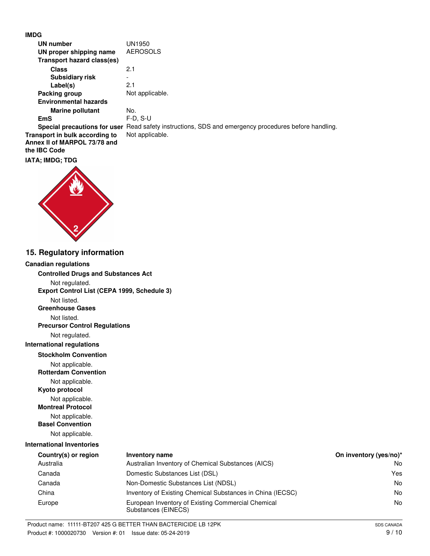## **IMDG**

| UN number                    | UN1950                                                                                               |
|------------------------------|------------------------------------------------------------------------------------------------------|
| UN proper shipping name      | <b>AEROSOLS</b>                                                                                      |
| Transport hazard class(es)   |                                                                                                      |
| <b>Class</b>                 | 2.1                                                                                                  |
| <b>Subsidiary risk</b>       |                                                                                                      |
| Label(s)                     | 2.1                                                                                                  |
| Packing group                | Not applicable.                                                                                      |
| <b>Environmental hazards</b> |                                                                                                      |
| <b>Marine pollutant</b>      | No.                                                                                                  |
| <b>EmS</b>                   | $F-D$ , S-U                                                                                          |
|                              | Special precautions for user Read safety instructions, SDS and emergency procedures before handling. |
|                              |                                                                                                      |

**Transport in bulk according to** Not applicable. **Annex II of MARPOL 73/78 and the IBC Code**

#### **IATA; IMDG; TDG**



## **15. Regulatory information**

#### **Canadian regulations**

**Controlled Drugs and Substances Act**

Not regulated.

**Export Control List (CEPA 1999, Schedule 3)**

Not listed.

**Greenhouse Gases**

Not listed.

**Precursor Control Regulations**

Not regulated.

**International regulations**

**Stockholm Convention**

Not applicable.

**Rotterdam Convention**

Not applicable.

**Kyoto protocol**

Not applicable. **Montreal Protocol**

Not applicable.

**Basel Convention**

Not applicable.

## **International Inventories**

| Country(s) or region | Inventory name                                                            | On inventory (yes/no)* |
|----------------------|---------------------------------------------------------------------------|------------------------|
| Australia            | Australian Inventory of Chemical Substances (AICS)                        | No                     |
| Canada               | Domestic Substances List (DSL)                                            | Yes                    |
| Canada               | Non-Domestic Substances List (NDSL)                                       | No                     |
| China                | Inventory of Existing Chemical Substances in China (IECSC)                | No                     |
| Europe               | European Inventory of Existing Commercial Chemical<br>Substances (EINECS) | No                     |